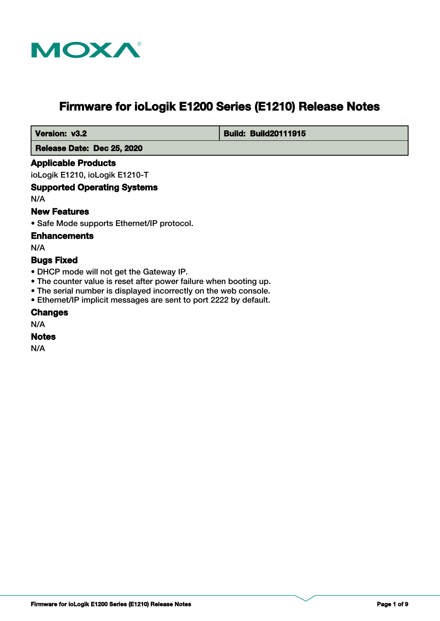

# **Firmware for ioLogik E1200 Series (E1210) Release Notes**

 **Version: v3.2 Build: Build: Build20111915** 

 **Release Date: Dec 25, 2020**

### **Applicable Products**

ioLogik E1210, ioLogik E1210-T

### **Supported Operating Systems**

N/A

### **New Features**

• Safe Mode supports Ethernet/IP protocol.

#### **Enhancements**

N/A

### **Bugs Fixed**

- DHCP mode will not get the Gateway IP.
- The counter value is reset after power failure when booting up.
- The serial number is displayed incorrectly on the web console.
- Ethernet/IP implicit messages are sent to port 2222 by default.

### **Changes**

N/A

#### **Notes**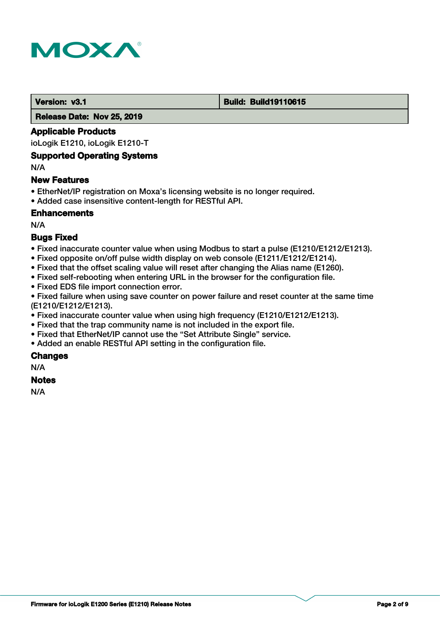

#### **Version: v3.1 Build: Build: Build19110615**

 **Release Date: Nov 25, 2019**

#### **Applicable Products**

ioLogik E1210, ioLogik E1210-T

### **Supported Operating Systems**

N/A

#### **New Features**

- EtherNet/IP registration on Moxa's licensing website is no longer required.
- Added case insensitive content-length for RESTful API.

### **Enhancements**

N/A

### **Bugs Fixed**

- Fixed inaccurate counter value when using Modbus to start a pulse (E1210/E1212/E1213).
- Fixed opposite on/off pulse width display on web console (E1211/E1212/E1214).
- Fixed that the offset scaling value will reset after changing the Alias name (E1260).
- Fixed self-rebooting when entering URL in the browser for the configuration file.
- Fixed EDS file import connection error.

• Fixed failure when using save counter on power failure and reset counter at the same time (E1210/E1212/E1213).

- Fixed inaccurate counter value when using high frequency (E1210/E1212/E1213).
- Fixed that the trap community name is not included in the export file.
- Fixed that EtherNet/IP cannot use the "Set Attribute Single" service.
- Added an enable RESTful API setting in the configuration file.

### **Changes**

N/A

### **Notes**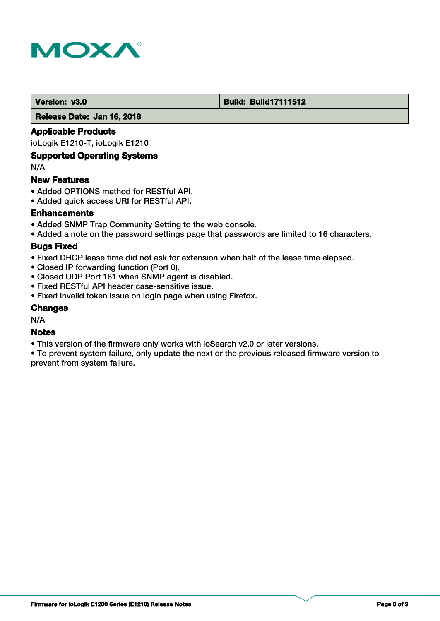

#### **Version: v3.0 Build: Build: Build17111512**

 **Release Date: Jan 16, 2018**

### **Applicable Products**

ioLogik E1210-T, ioLogik E1210

### **Supported Operating Systems**

N/A

#### **New Features**

- Added OPTIONS method for RESTful API.
- Added quick access URI for RESTful API.

### **Enhancements**

- Added SNMP Trap Community Setting to the web console.
- Added a note on the password settings page that passwords are limited to 16 characters.

#### **Bugs Fixed**

- Fixed DHCP lease time did not ask for extension when half of the lease time elapsed.
- Closed IP forwarding function (Port 0).
- Closed UDP Port 161 when SNMP agent is disabled.
- Fixed RESTful API header case-sensitive issue.
- Fixed invalid token issue on login page when using Firefox.

#### **Changes**

N/A

### **Notes**

• This version of the firmware only works with ioSearch v2.0 or later versions.

• To prevent system failure, only update the next or the previous released firmware version to prevent from system failure.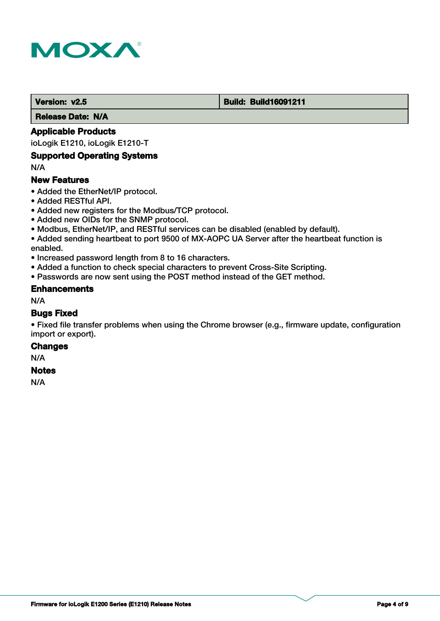

#### **Version: v2.5 Build: Build: Build16091211**

 **Release Date: N/A**

### **Applicable Products**

ioLogik E1210, ioLogik E1210-T

#### **Supported Operating Systems**

N/A

#### **New Features**

- Added the EtherNet/IP protocol.
- Added RESTful API.
- Added new registers for the Modbus/TCP protocol.
- Added new OIDs for the SNMP protocol.
- Modbus, EtherNet/IP, and RESTful services can be disabled (enabled by default).
- Added sending heartbeat to port 9500 of MX-AOPC UA Server after the heartbeat function is enabled.
- Increased password length from 8 to 16 characters.
- Added a function to check special characters to prevent Cross-Site Scripting.
- Passwords are now sent using the POST method instead of the GET method.

### **Enhancements**

N/A

#### **Bugs Fixed**

• Fixed file transfer problems when using the Chrome browser (e.g., firmware update, configuration import or export).

#### **Changes**

N/A

#### **Notes**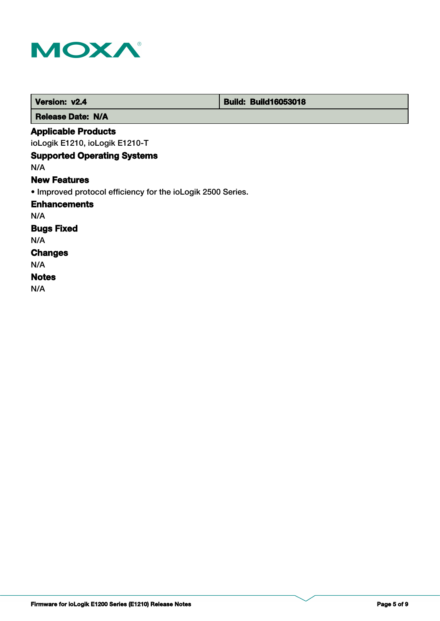

| Version: v2.4                                               | <b>Build: Build16053018</b> |  |
|-------------------------------------------------------------|-----------------------------|--|
| <b>Release Date: N/A</b>                                    |                             |  |
| <b>Applicable Products</b>                                  |                             |  |
| ioLogik E1210, ioLogik E1210-T                              |                             |  |
| <b>Supported Operating Systems</b>                          |                             |  |
| N/A                                                         |                             |  |
| <b>New Features</b>                                         |                             |  |
| • Improved protocol efficiency for the ioLogik 2500 Series. |                             |  |
| <b>Enhancements</b>                                         |                             |  |
| N/A                                                         |                             |  |
| <b>Bugs Fixed</b>                                           |                             |  |
| N/A                                                         |                             |  |
| <b>Changes</b>                                              |                             |  |
| N/A                                                         |                             |  |
| <b>Notes</b>                                                |                             |  |
| N/A                                                         |                             |  |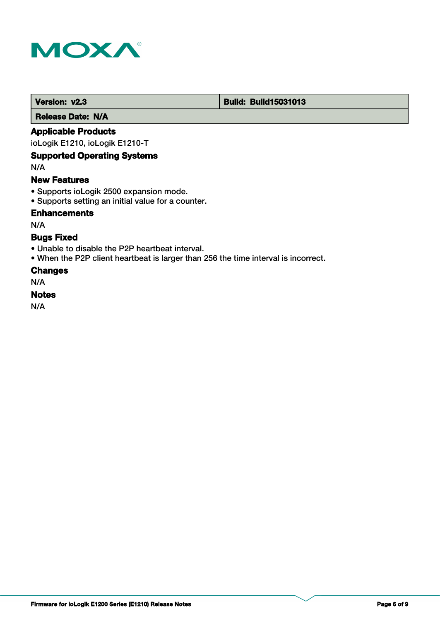

#### **Version: v2.3 Build: Build: Build15031013**

 **Release Date: N/A**

### **Applicable Products**

ioLogik E1210, ioLogik E1210-T

### **Supported Operating Systems**

N/A

#### **New Features**

- Supports ioLogik 2500 expansion mode.
- Supports setting an initial value for a counter.

### **Enhancements**

N/A

### **Bugs Fixed**

- Unable to disable the P2P heartbeat interval.
- When the P2P client heartbeat is larger than 256 the time interval is incorrect.

#### **Changes**

N/A

#### **Notes**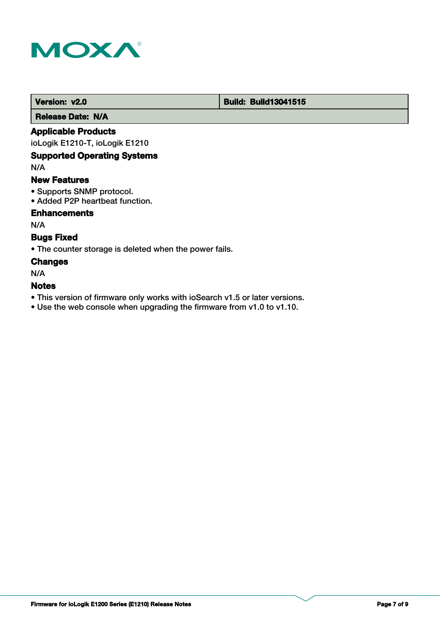

#### **Version: v2.0 Build: Build: Build13041515**

 **Release Date: N/A**

### **Applicable Products**

ioLogik E1210-T, ioLogik E1210

### **Supported Operating Systems**

N/A

#### **New Features**

- Supports SNMP protocol.
- Added P2P heartbeat function.

### **Enhancements**

N/A

### **Bugs Fixed**

• The counter storage is deleted when the power fails.

### **Changes**

N/A

### **Notes**

- This version of firmware only works with ioSearch v1.5 or later versions.
- Use the web console when upgrading the firmware from v1.0 to v1.10.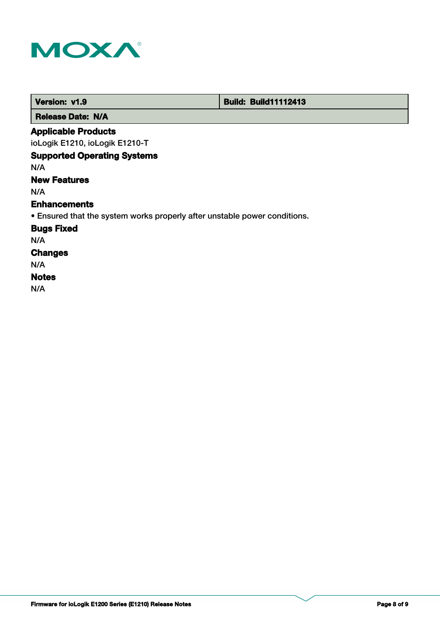

|                            | Version: v1.9            | <b>Build: Build11112413</b> |
|----------------------------|--------------------------|-----------------------------|
|                            | <b>Release Date: N/A</b> |                             |
| <b>Applicable Products</b> |                          |                             |
| .<br>.                     |                          |                             |

ioLogik E1210, ioLogik E1210-T

## **Supported Operating Systems**

N/A

### **New Features**

N/A

#### **Enhancements**

• Ensured that the system works properly after unstable power conditions.

**Bugs Fixed**

N/A

# **Changes**

N/A

### **Notes**